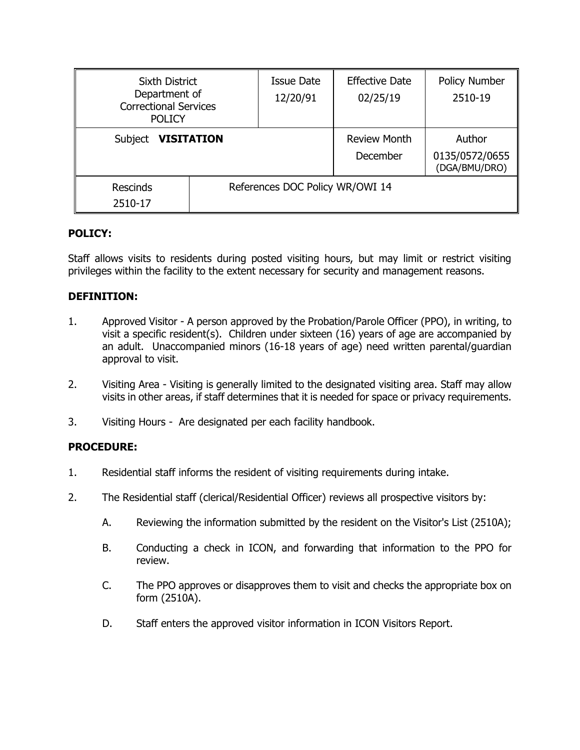| <b>Sixth District</b><br>Department of<br><b>Correctional Services</b><br><b>POLICY</b> |                                 | <b>Issue Date</b><br>12/20/91   | <b>Effective Date</b><br>02/25/19         | Policy Number<br>2510-19 |
|-----------------------------------------------------------------------------------------|---------------------------------|---------------------------------|-------------------------------------------|--------------------------|
| <b>VISITATION</b><br>Subject                                                            |                                 | <b>Review Month</b><br>December | Author<br>0135/0572/0655<br>(DGA/BMU/DRO) |                          |
| <b>Rescinds</b><br>2510-17                                                              | References DOC Policy WR/OWI 14 |                                 |                                           |                          |

## **POLICY:**

Staff allows visits to residents during posted visiting hours, but may limit or restrict visiting privileges within the facility to the extent necessary for security and management reasons.

## **DEFINITION:**

- 1. Approved Visitor A person approved by the Probation/Parole Officer (PPO), in writing, to visit a specific resident(s). Children under sixteen (16) years of age are accompanied by an adult. Unaccompanied minors (16-18 years of age) need written parental/guardian approval to visit.
- 2. Visiting Area Visiting is generally limited to the designated visiting area. Staff may allow visits in other areas, if staff determines that it is needed for space or privacy requirements.
- 3. Visiting Hours Are designated per each facility handbook.

# **PROCEDURE:**

- 1. Residential staff informs the resident of visiting requirements during intake.
- 2. The Residential staff (clerical/Residential Officer) reviews all prospective visitors by:
	- A. Reviewing the information submitted by the resident on the Visitor's List (2510A);
	- B. Conducting a check in ICON, and forwarding that information to the PPO for review.
	- C. The PPO approves or disapproves them to visit and checks the appropriate box on form (2510A).
	- D. Staff enters the approved visitor information in ICON Visitors Report.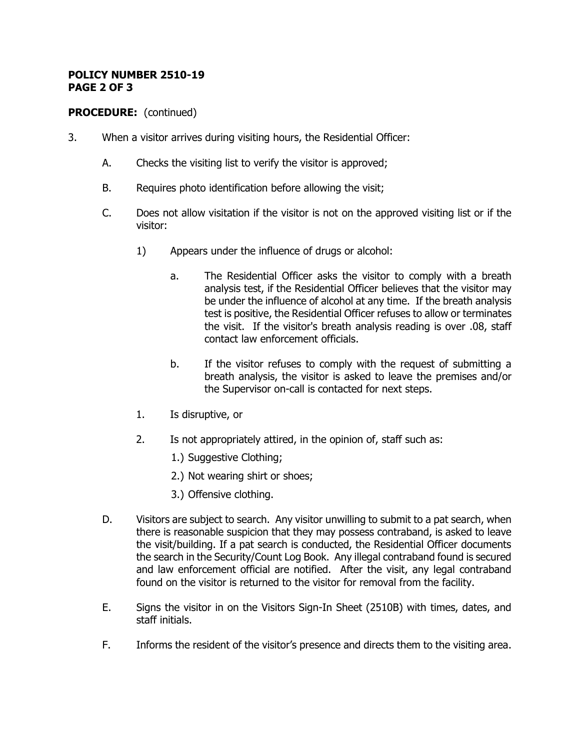#### **POLICY NUMBER 2510-19 PAGE 2 OF 3**

# **PROCEDURE:** (continued)

- 3. When a visitor arrives during visiting hours, the Residential Officer:
	- A. Checks the visiting list to verify the visitor is approved;
	- B. Requires photo identification before allowing the visit;
	- C. Does not allow visitation if the visitor is not on the approved visiting list or if the visitor:
		- 1) Appears under the influence of drugs or alcohol:
			- a. The Residential Officer asks the visitor to comply with a breath analysis test, if the Residential Officer believes that the visitor may be under the influence of alcohol at any time. If the breath analysis test is positive, the Residential Officer refuses to allow or terminates the visit. If the visitor's breath analysis reading is over .08, staff contact law enforcement officials.
			- b. If the visitor refuses to comply with the request of submitting a breath analysis, the visitor is asked to leave the premises and/or the Supervisor on-call is contacted for next steps.
		- 1. Is disruptive, or
		- 2. Is not appropriately attired, in the opinion of, staff such as:
			- 1.) Suggestive Clothing;
			- 2.) Not wearing shirt or shoes;
			- 3.) Offensive clothing.
	- D. Visitors are subject to search. Any visitor unwilling to submit to a pat search, when there is reasonable suspicion that they may possess contraband, is asked to leave the visit/building. If a pat search is conducted, the Residential Officer documents the search in the Security/Count Log Book. Any illegal contraband found is secured and law enforcement official are notified. After the visit, any legal contraband found on the visitor is returned to the visitor for removal from the facility.
	- E. Signs the visitor in on the Visitors Sign-In Sheet (2510B) with times, dates, and staff initials.
	- F. Informs the resident of the visitor's presence and directs them to the visiting area.